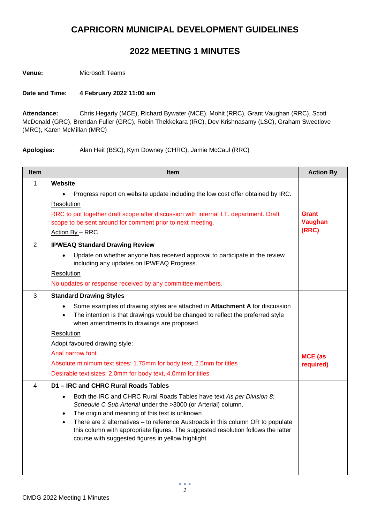## **CAPRICORN MUNICIPAL DEVELOPMENT GUIDELINES**

## **2022 MEETING 1 MINUTES**

**Venue:** Microsoft Teams

## **Date and Time: 4 February 2022 11:00 am**

**Attendance:** Chris Hegarty (MCE), Richard Bywater (MCE), Mohit (RRC), Grant Vaughan (RRC), Scott McDonald (GRC), Brendan Fuller (GRC), Robin Thekkekara (IRC), Dev Krishnasamy (LSC), Graham Sweetlove (MRC), Karen McMillan (MRC)

**Apologies:** Alan Heit (BSC), Kym Downey (CHRC), Jamie McCaul (RRC)

| <b>Item</b>    | <b>Item</b>                                                                                                                                                                                                                                                                                                                                                                                                                                                  | <b>Action By</b>               |
|----------------|--------------------------------------------------------------------------------------------------------------------------------------------------------------------------------------------------------------------------------------------------------------------------------------------------------------------------------------------------------------------------------------------------------------------------------------------------------------|--------------------------------|
| 1              | Website                                                                                                                                                                                                                                                                                                                                                                                                                                                      |                                |
|                | Progress report on website update including the low cost offer obtained by IRC.                                                                                                                                                                                                                                                                                                                                                                              |                                |
|                | Resolution                                                                                                                                                                                                                                                                                                                                                                                                                                                   |                                |
|                | RRC to put together draft scope after discussion with internal I.T. department. Draft<br>scope to be sent around for comment prior to next meeting.                                                                                                                                                                                                                                                                                                          | <b>Grant</b><br><b>Vaughan</b> |
|                | Action By - RRC                                                                                                                                                                                                                                                                                                                                                                                                                                              | (RRC)                          |
| $\overline{2}$ | <b>IPWEAQ Standard Drawing Review</b>                                                                                                                                                                                                                                                                                                                                                                                                                        |                                |
|                | Update on whether anyone has received approval to participate in the review<br>$\bullet$<br>including any updates on IPWEAQ Progress.                                                                                                                                                                                                                                                                                                                        |                                |
|                | Resolution                                                                                                                                                                                                                                                                                                                                                                                                                                                   |                                |
|                | No updates or response received by any committee members.                                                                                                                                                                                                                                                                                                                                                                                                    |                                |
| 3              | <b>Standard Drawing Styles</b>                                                                                                                                                                                                                                                                                                                                                                                                                               |                                |
|                | Some examples of drawing styles are attached in Attachment A for discussion<br>The intention is that drawings would be changed to reflect the preferred style<br>$\bullet$<br>when amendments to drawings are proposed.                                                                                                                                                                                                                                      |                                |
|                | Resolution                                                                                                                                                                                                                                                                                                                                                                                                                                                   |                                |
|                | Adopt favoured drawing style:                                                                                                                                                                                                                                                                                                                                                                                                                                |                                |
|                | Arial narrow font.                                                                                                                                                                                                                                                                                                                                                                                                                                           | <b>MCE</b> (as                 |
|                | Absolute minimum text sizes: 1.75mm for body text, 2.5mm for titles                                                                                                                                                                                                                                                                                                                                                                                          | required)                      |
|                | Desirable text sizes: 2.0mm for body text, 4.0mm for titles                                                                                                                                                                                                                                                                                                                                                                                                  |                                |
| 4              | D1 - IRC and CHRC Rural Roads Tables                                                                                                                                                                                                                                                                                                                                                                                                                         |                                |
|                | Both the IRC and CHRC Rural Roads Tables have text As per Division 8:<br>$\bullet$<br>Schedule C Sub Arterial under the >3000 (or Arterial) column.<br>The origin and meaning of this text is unknown<br>$\bullet$<br>There are 2 alternatives - to reference Austroads in this column OR to populate<br>$\bullet$<br>this column with appropriate figures. The suggested resolution follows the latter<br>course with suggested figures in yellow highlight |                                |
|                |                                                                                                                                                                                                                                                                                                                                                                                                                                                              |                                |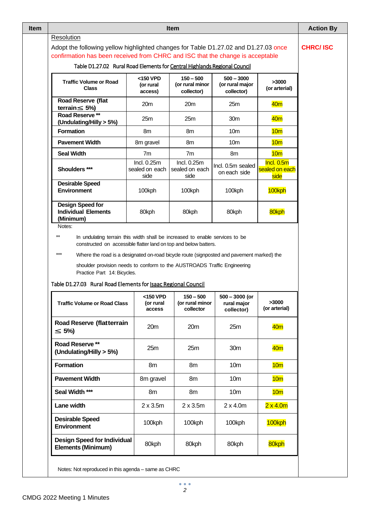| <b>Item</b>                                                                                                                                                                                                                                                                                                                                               |                                       |                                              |                                               |                                      |  |  |  |
|-----------------------------------------------------------------------------------------------------------------------------------------------------------------------------------------------------------------------------------------------------------------------------------------------------------------------------------------------------------|---------------------------------------|----------------------------------------------|-----------------------------------------------|--------------------------------------|--|--|--|
| Resolution<br>Adopt the following yellow highlighted changes for Table D1.27.02 and D1.27.03 once<br>confirmation has been received from CHRC and ISC that the change is acceptable                                                                                                                                                                       |                                       |                                              |                                               |                                      |  |  |  |
| Table D1.27.02 Rural Road Elements for Central Highlands Regional Council                                                                                                                                                                                                                                                                                 |                                       |                                              |                                               |                                      |  |  |  |
| <b>Traffic Volume or Road</b><br><b>Class</b>                                                                                                                                                                                                                                                                                                             | <150 VPD<br>(or rural<br>access)      | $150 - 500$<br>(or rural minor<br>collector) | $500 - 3000$<br>(or rural major<br>collector) | >3000<br>(or arterial)               |  |  |  |
| Road Reserve (flat<br>terrain $\leq 5\%$                                                                                                                                                                                                                                                                                                                  | 20m                                   | 20 <sub>m</sub>                              | 25m                                           | 40 <sub>m</sub>                      |  |  |  |
| Road Reserve **<br>(Undulating/Hilly > 5%)                                                                                                                                                                                                                                                                                                                | 25m                                   | 25m                                          | 30m                                           | 40 <sub>m</sub>                      |  |  |  |
| <b>Formation</b>                                                                                                                                                                                                                                                                                                                                          | 8m                                    | 8m                                           | 10 <sub>m</sub>                               | 10 <sub>m</sub>                      |  |  |  |
| <b>Pavement Width</b>                                                                                                                                                                                                                                                                                                                                     | 8m gravel                             | 8 <sub>m</sub>                               | 10 <sub>m</sub>                               | 10 <sub>m</sub>                      |  |  |  |
| <b>Seal Width</b>                                                                                                                                                                                                                                                                                                                                         | 7 <sub>m</sub>                        | 7 <sub>m</sub>                               | 8m                                            | 10 <sub>m</sub>                      |  |  |  |
| Shoulders ***                                                                                                                                                                                                                                                                                                                                             | Incl. 0.25m<br>sealed on each<br>side | Incl. 0.25m<br>sealed on each<br>side        | Incl. 0.5m sealed<br>on each side             | Incl. 0.5m<br>sealed on each<br>side |  |  |  |
| <b>Desirable Speed</b><br><b>Environment</b>                                                                                                                                                                                                                                                                                                              | 100kph                                | 100kph                                       | 100kph                                        | 100kph                               |  |  |  |
|                                                                                                                                                                                                                                                                                                                                                           | 80kph                                 | 80kph                                        | 80kph                                         | 80kph                                |  |  |  |
| <b>Design Speed for</b><br><b>Individual Elements</b><br>(Minimum)<br>Notes:<br>$^{\star\star}$<br>In undulating terrain this width shall be increased to enable services to be<br>constructed on accessible flatter land on top and below batters.<br>$***$<br>Where the road is a designated on-road bicycle route (signposted and pavement marked) the |                                       |                                              |                                               |                                      |  |  |  |
| shoulder provision needs to conform to the AUSTROADS Traffic Engineering<br>Practice Part 14: Bicycles.<br>Table D1.27.03 Rural Road Elements for Isaac Regional Council                                                                                                                                                                                  |                                       |                                              |                                               |                                      |  |  |  |
| <b>Traffic Volume or Road Class</b>                                                                                                                                                                                                                                                                                                                       | <150 VPD<br>(or rural<br>access       | $150 - 500$<br>(or rural minor<br>collector  | $500 - 3000$ (or<br>rural major<br>collector) | >3000<br>(or arterial)               |  |  |  |
| <b>Road Reserve (flatterrain</b><br>$\leq 5\%$                                                                                                                                                                                                                                                                                                            | 20m                                   | 20m                                          | 25m                                           | 40 <sub>m</sub>                      |  |  |  |
| Road Reserve **<br>(Undulating/Hilly > 5%)                                                                                                                                                                                                                                                                                                                | 25m                                   | 25m                                          | 30m                                           | 40 <sub>m</sub>                      |  |  |  |
| <b>Formation</b>                                                                                                                                                                                                                                                                                                                                          | 8m                                    | 8m                                           | 10 <sub>m</sub>                               | 10 <sub>m</sub>                      |  |  |  |
| <b>Pavement Width</b>                                                                                                                                                                                                                                                                                                                                     | 8m gravel                             | 8m                                           | 10 <sub>m</sub>                               | 10 <sub>m</sub>                      |  |  |  |
| Seal Width ***                                                                                                                                                                                                                                                                                                                                            | 8m                                    | 8m                                           | 10 <sub>m</sub>                               | 10 <sub>m</sub>                      |  |  |  |
| Lane width                                                                                                                                                                                                                                                                                                                                                | $2 \times 3.5$ m                      | $2 \times 3.5$ m                             | $2 \times 4.0m$                               | 2x4.0m                               |  |  |  |
| <b>Desirable Speed</b><br><b>Environment</b>                                                                                                                                                                                                                                                                                                              | 100kph                                | 100kph                                       | 100kph                                        | 100kph                               |  |  |  |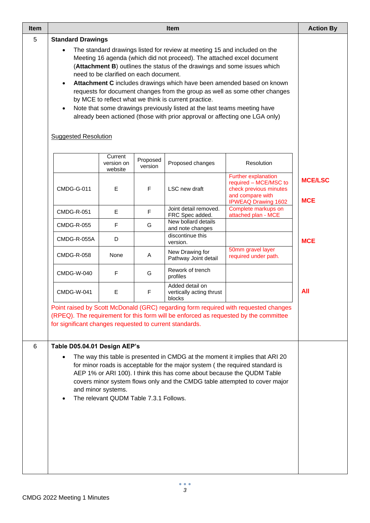| <b>Item</b> |                                                                                                                                                                                                                                                                                                                                                                                                                                                                                                                                                                                                                                                                                    | <b>Action By</b>                 |                     |                                                       |                                                                                                                                                                             |                              |  |  |
|-------------|------------------------------------------------------------------------------------------------------------------------------------------------------------------------------------------------------------------------------------------------------------------------------------------------------------------------------------------------------------------------------------------------------------------------------------------------------------------------------------------------------------------------------------------------------------------------------------------------------------------------------------------------------------------------------------|----------------------------------|---------------------|-------------------------------------------------------|-----------------------------------------------------------------------------------------------------------------------------------------------------------------------------|------------------------------|--|--|
| 5           | <b>Standard Drawings</b>                                                                                                                                                                                                                                                                                                                                                                                                                                                                                                                                                                                                                                                           |                                  |                     |                                                       |                                                                                                                                                                             |                              |  |  |
|             | The standard drawings listed for review at meeting 15 and included on the<br>Meeting 16 agenda (which did not proceed). The attached excel document<br>(Attachment B) outlines the status of the drawings and some issues which<br>need to be clarified on each document.<br>Attachment C includes drawings which have been amended based on known<br>requests for document changes from the group as well as some other changes<br>by MCE to reflect what we think is current practice.<br>Note that some drawings previously listed at the last teams meeting have<br>already been actioned (those with prior approval or affecting one LGA only)<br><b>Suggested Resolution</b> |                                  |                     |                                                       |                                                                                                                                                                             |                              |  |  |
|             |                                                                                                                                                                                                                                                                                                                                                                                                                                                                                                                                                                                                                                                                                    | Current<br>version on<br>website | Proposed<br>version | Proposed changes                                      | Resolution                                                                                                                                                                  |                              |  |  |
|             | <b>CMDG-G-011</b>                                                                                                                                                                                                                                                                                                                                                                                                                                                                                                                                                                                                                                                                  | E                                | $\mathsf F$         | LSC new draft                                         | Further explanation<br>required - MCE/MSC to<br>check previous minutes<br>and compare with<br><b>IPWEAQ Drawing 1602</b>                                                    | <b>MCE/LSC</b><br><b>MCE</b> |  |  |
|             | <b>CMDG-R-051</b>                                                                                                                                                                                                                                                                                                                                                                                                                                                                                                                                                                                                                                                                  | E                                | F                   | Joint detail removed.<br>FRC Spec added.              | Complete markups on<br>attached plan - MCE                                                                                                                                  |                              |  |  |
|             | <b>CMDG-R-055</b>                                                                                                                                                                                                                                                                                                                                                                                                                                                                                                                                                                                                                                                                  | $\mathsf F$                      | G                   | New bollard details<br>and note changes               |                                                                                                                                                                             |                              |  |  |
|             | CMDG-R-055A                                                                                                                                                                                                                                                                                                                                                                                                                                                                                                                                                                                                                                                                        | D                                |                     | discontinue this<br>version.                          |                                                                                                                                                                             | <b>MCE</b>                   |  |  |
|             | <b>CMDG-R-058</b>                                                                                                                                                                                                                                                                                                                                                                                                                                                                                                                                                                                                                                                                  | None                             | Α                   | New Drawing for<br>Pathway Joint detail               | 50mm gravel layer<br>required under path.                                                                                                                                   |                              |  |  |
|             | <b>CMDG-W-040</b>                                                                                                                                                                                                                                                                                                                                                                                                                                                                                                                                                                                                                                                                  |                                  |                     |                                                       |                                                                                                                                                                             |                              |  |  |
|             | <b>CMDG-W-041</b>                                                                                                                                                                                                                                                                                                                                                                                                                                                                                                                                                                                                                                                                  | E                                | F                   | Added detail on<br>vertically acting thrust<br>blocks |                                                                                                                                                                             | All                          |  |  |
|             | for significant changes requested to current standards.                                                                                                                                                                                                                                                                                                                                                                                                                                                                                                                                                                                                                            |                                  |                     |                                                       | Point raised by Scott McDonald (GRC) regarding form required with requested changes<br>(RPEQ). The requirement for this form will be enforced as requested by the committee |                              |  |  |
| 6           | Table D05.04.01 Design AEP's<br>The way this table is presented in CMDG at the moment it implies that ARI 20<br>for minor roads is acceptable for the major system (the required standard is<br>AEP 1% or ARI 100). I think this has come about because the QUDM Table<br>covers minor system flows only and the CMDG table attempted to cover major<br>and minor systems.<br>The relevant QUDM Table 7.3.1 Follows.                                                                                                                                                                                                                                                               |                                  |                     |                                                       |                                                                                                                                                                             |                              |  |  |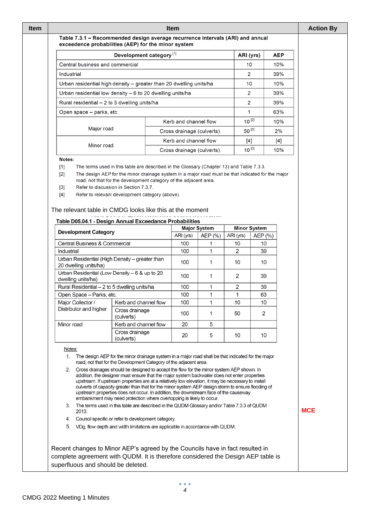| Urban residential high density - greater than 20 dwelling units/ha<br>Urban residential low density - 6 to 20 dwelling units/ha |            |                                                                                                                                                                                                                                                                                                                                                                                                                                                                                                                                                                      |  |                           |                     |                | 2                   | 39%   |            |
|---------------------------------------------------------------------------------------------------------------------------------|------------|----------------------------------------------------------------------------------------------------------------------------------------------------------------------------------------------------------------------------------------------------------------------------------------------------------------------------------------------------------------------------------------------------------------------------------------------------------------------------------------------------------------------------------------------------------------------|--|---------------------------|---------------------|----------------|---------------------|-------|------------|
| Rural residential - 2 to 5 dwelling units/ha                                                                                    |            |                                                                                                                                                                                                                                                                                                                                                                                                                                                                                                                                                                      |  |                           |                     |                | 2                   | 39%   |            |
|                                                                                                                                 |            |                                                                                                                                                                                                                                                                                                                                                                                                                                                                                                                                                                      |  | 1                         |                     |                |                     |       |            |
| Open space - parks, etc.                                                                                                        |            |                                                                                                                                                                                                                                                                                                                                                                                                                                                                                                                                                                      |  |                           |                     |                |                     | 63%   |            |
|                                                                                                                                 |            |                                                                                                                                                                                                                                                                                                                                                                                                                                                                                                                                                                      |  | Kerb and channel flow     |                     |                | $10^{[2]}$          | 10%   |            |
|                                                                                                                                 | Major road |                                                                                                                                                                                                                                                                                                                                                                                                                                                                                                                                                                      |  | Cross drainage (culverts) |                     |                | 50 [3]              | 2%    |            |
|                                                                                                                                 | Minor road |                                                                                                                                                                                                                                                                                                                                                                                                                                                                                                                                                                      |  | Kerb and channel flow     |                     |                | [4]                 | $[4]$ |            |
|                                                                                                                                 |            |                                                                                                                                                                                                                                                                                                                                                                                                                                                                                                                                                                      |  | Cross drainage (culverts) |                     |                | $10^{[3]}$          | 10%   |            |
| Notes:                                                                                                                          |            |                                                                                                                                                                                                                                                                                                                                                                                                                                                                                                                                                                      |  |                           |                     |                |                     |       |            |
| $[1]$<br>[2]<br>$[3]$<br>$[4]$<br>The relevant table in CMDG looks like this at the moment                                      |            | The terms used in this table are described in the Glossary (Chapter 13) and Table 7.3.3.<br>The design AEP for the minor drainage system in a major road must be that indicated for the major<br>road, not that for the development category of the adjacent area.<br>Refer to discussion in Section 7.3.7.<br>Refer to relevant development category (above).                                                                                                                                                                                                       |  |                           |                     |                |                     |       |            |
| Table D05.04.1 - Design Annual Exceedance Probabilities                                                                         |            |                                                                                                                                                                                                                                                                                                                                                                                                                                                                                                                                                                      |  |                           |                     |                |                     |       |            |
| <b>Development Category</b>                                                                                                     |            |                                                                                                                                                                                                                                                                                                                                                                                                                                                                                                                                                                      |  |                           | <b>Major System</b> |                | <b>Minor System</b> |       |            |
|                                                                                                                                 |            |                                                                                                                                                                                                                                                                                                                                                                                                                                                                                                                                                                      |  | ARI (yrs)                 | AEP (%)             | ARI (yrs)      | AEP (%)             |       |            |
| <b>Central Business &amp; Commercial</b>                                                                                        |            |                                                                                                                                                                                                                                                                                                                                                                                                                                                                                                                                                                      |  | 100                       |                     | 10             | 10                  |       |            |
| Industrial                                                                                                                      |            |                                                                                                                                                                                                                                                                                                                                                                                                                                                                                                                                                                      |  | 100                       | 1                   | 2              | 39                  |       |            |
| Urban Residential (High Density - greater than<br>20 dwelling units/ha)                                                         |            |                                                                                                                                                                                                                                                                                                                                                                                                                                                                                                                                                                      |  | 100                       | 1                   | 10             | 10                  |       |            |
| Urban Residential (Low Density $-6$ & up to 20<br>dwelling units/ha)                                                            |            |                                                                                                                                                                                                                                                                                                                                                                                                                                                                                                                                                                      |  | 100                       | 1                   | 2              | 39                  |       |            |
| Rural Residential - 2 to 5 dwelling units/ha                                                                                    |            |                                                                                                                                                                                                                                                                                                                                                                                                                                                                                                                                                                      |  | 100                       | 1                   | $\overline{2}$ | 39                  |       |            |
| Open Space - Parks, etc.                                                                                                        |            |                                                                                                                                                                                                                                                                                                                                                                                                                                                                                                                                                                      |  | 100                       | 1                   | 1              | 63                  |       |            |
| Major Collector /                                                                                                               |            | Kerb and channel flow                                                                                                                                                                                                                                                                                                                                                                                                                                                                                                                                                |  | 100                       | 1                   | 10             | 10                  |       |            |
| Distributor and higher                                                                                                          |            | Cross drainage<br>(culverts)                                                                                                                                                                                                                                                                                                                                                                                                                                                                                                                                         |  | 100                       | 1                   | 50             | 2                   |       |            |
| Minor road                                                                                                                      |            | Kerb and channel flow                                                                                                                                                                                                                                                                                                                                                                                                                                                                                                                                                |  | 20                        | 5                   |                |                     |       |            |
|                                                                                                                                 |            | Cross drainage<br>(culverts)                                                                                                                                                                                                                                                                                                                                                                                                                                                                                                                                         |  | 20                        | 5                   | 10             | 10                  |       |            |
| Notes:                                                                                                                          |            |                                                                                                                                                                                                                                                                                                                                                                                                                                                                                                                                                                      |  |                           |                     |                |                     |       |            |
|                                                                                                                                 |            | 1. The design AEP for the minor drainage system in a major road shall be that indicated for the major<br>road, not that for the Development Category of the adjacent area.                                                                                                                                                                                                                                                                                                                                                                                           |  |                           |                     |                |                     |       |            |
| 2.                                                                                                                              |            | Cross drainages should be designed to accept the flow for the minor system AEP shown. In<br>addition, the designer must ensure that the major system backwater does not enter properties<br>upstream. If upstream properties are at a relatively low elevation, it may be necessary to install<br>culverts of capacity greater than that for the minor system AEP design storm to ensure flooding of<br>upstream properties does not occur. In addition, the downstream face of the causeway<br>embankment may need protection where overtopping is likely to occur. |  |                           |                     |                |                     |       |            |
|                                                                                                                                 |            | The terms used in this table are described in the QUDM Glossary and/or Table 7.3.3 of QUDM<br>3.<br>2013.                                                                                                                                                                                                                                                                                                                                                                                                                                                            |  |                           |                     |                |                     |       | <b>MCE</b> |
|                                                                                                                                 |            |                                                                                                                                                                                                                                                                                                                                                                                                                                                                                                                                                                      |  |                           |                     |                |                     |       |            |
| 4.                                                                                                                              |            | Council specific or refer to development category.<br>VDg, flow depth and width limitations are applicable in accordance with QUDM.                                                                                                                                                                                                                                                                                                                                                                                                                                  |  |                           |                     |                |                     |       |            |

**Item Item Action By**

ARI (yrs)

 $10$ 

 $\overline{2}$ 

**AEP** 

10%

39%

Table 7.3.1 - Recommended design average recurrence intervals (ARI) and annual

Development category  $^{[1]}$ 

exceedence probabilities (AEP) for the minor system

Central business and commercial

Industrial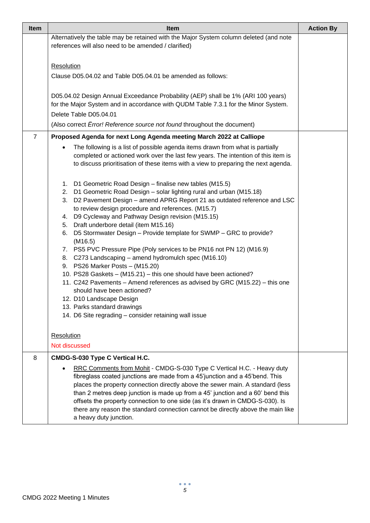| <b>Item</b>    | <b>Item</b>                                                                                                                                                                                                                                                                                                                                                                                                                                                                                                                                                                                                                                                                                                                                                                                                                                                                                                                                     |  |  |  |  |  |
|----------------|-------------------------------------------------------------------------------------------------------------------------------------------------------------------------------------------------------------------------------------------------------------------------------------------------------------------------------------------------------------------------------------------------------------------------------------------------------------------------------------------------------------------------------------------------------------------------------------------------------------------------------------------------------------------------------------------------------------------------------------------------------------------------------------------------------------------------------------------------------------------------------------------------------------------------------------------------|--|--|--|--|--|
|                | Alternatively the table may be retained with the Major System column deleted (and note                                                                                                                                                                                                                                                                                                                                                                                                                                                                                                                                                                                                                                                                                                                                                                                                                                                          |  |  |  |  |  |
|                | references will also need to be amended / clarified)                                                                                                                                                                                                                                                                                                                                                                                                                                                                                                                                                                                                                                                                                                                                                                                                                                                                                            |  |  |  |  |  |
|                | Resolution                                                                                                                                                                                                                                                                                                                                                                                                                                                                                                                                                                                                                                                                                                                                                                                                                                                                                                                                      |  |  |  |  |  |
|                | Clause D05.04.02 and Table D05.04.01 be amended as follows:                                                                                                                                                                                                                                                                                                                                                                                                                                                                                                                                                                                                                                                                                                                                                                                                                                                                                     |  |  |  |  |  |
|                |                                                                                                                                                                                                                                                                                                                                                                                                                                                                                                                                                                                                                                                                                                                                                                                                                                                                                                                                                 |  |  |  |  |  |
|                | D05.04.02 Design Annual Exceedance Probability (AEP) shall be 1% (ARI 100 years)<br>for the Major System and in accordance with QUDM Table 7.3.1 for the Minor System.                                                                                                                                                                                                                                                                                                                                                                                                                                                                                                                                                                                                                                                                                                                                                                          |  |  |  |  |  |
|                | Delete Table D05.04.01                                                                                                                                                                                                                                                                                                                                                                                                                                                                                                                                                                                                                                                                                                                                                                                                                                                                                                                          |  |  |  |  |  |
|                | (Also correct Error! Reference source not found throughout the document)                                                                                                                                                                                                                                                                                                                                                                                                                                                                                                                                                                                                                                                                                                                                                                                                                                                                        |  |  |  |  |  |
| $\overline{7}$ | Proposed Agenda for next Long Agenda meeting March 2022 at Calliope                                                                                                                                                                                                                                                                                                                                                                                                                                                                                                                                                                                                                                                                                                                                                                                                                                                                             |  |  |  |  |  |
|                | The following is a list of possible agenda items drawn from what is partially<br>$\bullet$<br>completed or actioned work over the last few years. The intention of this item is<br>to discuss prioritisation of these items with a view to preparing the next agenda.                                                                                                                                                                                                                                                                                                                                                                                                                                                                                                                                                                                                                                                                           |  |  |  |  |  |
|                | 1. D1 Geometric Road Design - finalise new tables (M15.5)<br>D1 Geometric Road Design - solar lighting rural and urban (M15.18)<br>2.<br>D2 Pavement Design - amend APRG Report 21 as outdated reference and LSC<br>3.<br>to review design procedure and references. (M15.7)<br>4. D9 Cycleway and Pathway Design revision (M15.15)<br>5. Draft underbore detail (item M15.16)<br>D5 Stormwater Design - Provide template for SWMP - GRC to provide?<br>6.<br>(M16.5)<br>7. PS5 PVC Pressure Pipe (Poly services to be PN16 not PN 12) (M16.9)<br>8. C273 Landscaping - amend hydromulch spec (M16.10)<br>9. PS26 Marker Posts - (M15.20)<br>10. PS28 Gaskets - (M15.21) - this one should have been actioned?<br>11. C242 Pavements - Amend references as advised by GRC (M15.22) - this one<br>should have been actioned?<br>12. D10 Landscape Design<br>13. Parks standard drawings<br>14. D6 Site regrading - consider retaining wall issue |  |  |  |  |  |
|                | Resolution                                                                                                                                                                                                                                                                                                                                                                                                                                                                                                                                                                                                                                                                                                                                                                                                                                                                                                                                      |  |  |  |  |  |
|                | Not discussed                                                                                                                                                                                                                                                                                                                                                                                                                                                                                                                                                                                                                                                                                                                                                                                                                                                                                                                                   |  |  |  |  |  |
| 8              | CMDG-S-030 Type C Vertical H.C.                                                                                                                                                                                                                                                                                                                                                                                                                                                                                                                                                                                                                                                                                                                                                                                                                                                                                                                 |  |  |  |  |  |
|                | RRC Comments from Mohit - CMDG-S-030 Type C Vertical H.C. - Heavy duty<br>fibreglass coated junctions are made from a 45'junction and a 45'bend. This<br>places the property connection directly above the sewer main. A standard (less<br>than 2 metres deep junction is made up from a 45' junction and a 60' bend this<br>offsets the property connection to one side (as it's drawn in CMDG-S-030). Is<br>there any reason the standard connection cannot be directly above the main like<br>a heavy duty junction.                                                                                                                                                                                                                                                                                                                                                                                                                         |  |  |  |  |  |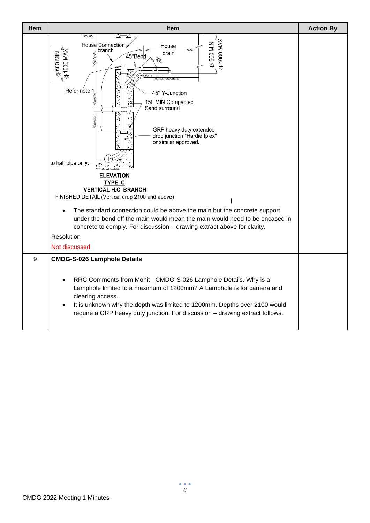